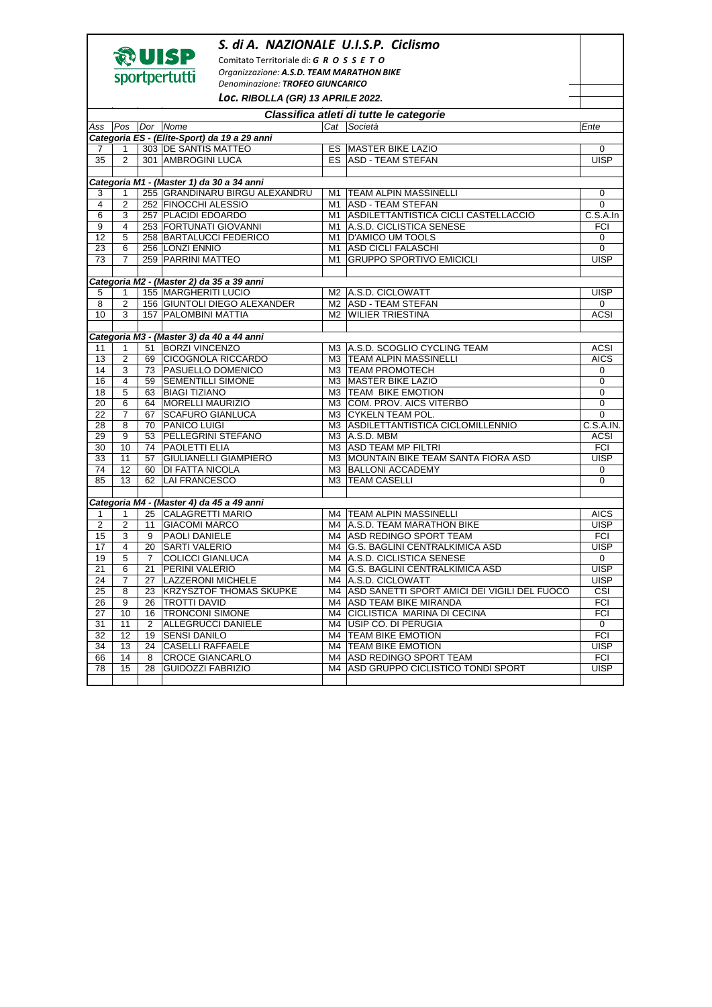|                                           |                                                            |    | S. di A. NAZIONALE U.I.S.P. Ciclismo                             |          |                                                              |                            |  |  |  |  |  |
|-------------------------------------------|------------------------------------------------------------|----|------------------------------------------------------------------|----------|--------------------------------------------------------------|----------------------------|--|--|--|--|--|
|                                           | やUISP<br>Comitato Territoriale di: G R O S S E T O         |    |                                                                  |          |                                                              |                            |  |  |  |  |  |
|                                           | Organizzazione: A.S.D. TEAM MARATHON BIKE<br>sportpertutti |    |                                                                  |          |                                                              |                            |  |  |  |  |  |
| Denominazione: TROFEO GIUNCARICO          |                                                            |    |                                                                  |          |                                                              |                            |  |  |  |  |  |
|                                           |                                                            |    | Loc. RIBOLLA (GR) 13 APRILE 2022.                                |          |                                                              |                            |  |  |  |  |  |
| Classifica atleti di tutte le categorie   |                                                            |    |                                                                  |          |                                                              |                            |  |  |  |  |  |
|                                           | Ass   Pos                                                  |    | Dor   Nome                                                       |          | Cat Società                                                  | Ente                       |  |  |  |  |  |
|                                           |                                                            |    | Categoria ES - (Elite-Sport) da 19 a 29 anni                     |          |                                                              |                            |  |  |  |  |  |
| 7                                         | 1                                                          |    | 303 DE SANTIS MATTEO                                             |          | <b>ES MASTER BIKE LAZIO</b>                                  | 0                          |  |  |  |  |  |
| 35                                        | $\overline{2}$                                             |    | 301 AMBROGINI LUCA                                               |          | ES ASD - TEAM STEFAN                                         | <b>UISP</b>                |  |  |  |  |  |
| Categoria M1 - (Master 1) da 30 a 34 anni |                                                            |    |                                                                  |          |                                                              |                            |  |  |  |  |  |
|                                           |                                                            |    | 255 GRANDINARU BIRGU ALEXANDRU                                   |          | <b>TEAM ALPIN MASSINELLI</b>                                 |                            |  |  |  |  |  |
| 3<br>$\overline{4}$                       | $\mathbf{1}$<br>$\mathbf{2}$                               |    | 252 FINOCCHI ALESSIO                                             | M1<br>M1 | <b>ASD - TEAM STEFAN</b>                                     | 0<br>0                     |  |  |  |  |  |
| 6                                         | 3                                                          |    | 257 PLACIDI EDOARDO                                              | M1       | ASDILETTANTISTICA CICLI CASTELLACCIO                         | C.S.A.In                   |  |  |  |  |  |
| 9                                         | $\overline{4}$                                             |    | 253 FORTUNATI GIOVANNI                                           |          | M1 A.S.D. CICLISTICA SENESE                                  | <b>FCI</b>                 |  |  |  |  |  |
| 12                                        | 5                                                          |    | 258 BARTALUCCI FEDERICO                                          |          | M1 D'AMICO UM TOOLS                                          | 0                          |  |  |  |  |  |
| 23                                        | 6                                                          |    | 256 LONZI ENNIO                                                  |          | M1 ASD CICLI FALASCHI                                        | 0                          |  |  |  |  |  |
| 73                                        | $\overline{7}$                                             |    | 259 PARRINI MATTEO                                               | M1       | <b>GRUPPO SPORTIVO EMICICLI</b>                              | <b>UISP</b>                |  |  |  |  |  |
|                                           |                                                            |    |                                                                  |          |                                                              |                            |  |  |  |  |  |
|                                           |                                                            |    | Categoria M2 - (Master 2) da 35 a 39 anni                        |          |                                                              |                            |  |  |  |  |  |
| 5                                         | $\mathbf{1}$                                               |    | 155 MARGHERITI LUCIO                                             |          | M2 A.S.D. CICLOWATT                                          | <b>UISP</b>                |  |  |  |  |  |
| 8                                         | $\overline{2}$                                             |    | 156 GIUNTOLI DIEGO ALEXANDER                                     |          | M2   ASD - TEAM STEFAN                                       | 0                          |  |  |  |  |  |
| 10                                        | 3                                                          |    | 157 PALOMBINI MATTIA                                             |          | <b>M2 WILIER TRIESTINA</b>                                   | <b>ACSI</b>                |  |  |  |  |  |
|                                           |                                                            |    |                                                                  |          |                                                              |                            |  |  |  |  |  |
|                                           |                                                            |    | Categoria M3 - (Master 3) da 40 a 44 anni                        |          |                                                              |                            |  |  |  |  |  |
| 11                                        | 1                                                          |    | 51   BORZI VINCENZO                                              |          | M3 A.S.D. SCOGLIO CYCLING TEAM                               | <b>ACSI</b>                |  |  |  |  |  |
| 13<br>14                                  | 2<br>3                                                     |    | 69 CICOGNOLA RICCARDO<br>73 PASUELLO DOMENICO                    |          | M3   TEAM ALPIN MASSINELLI<br>M3 TEAM PROMOTECH              | <b>AICS</b><br>0           |  |  |  |  |  |
| 16                                        | $\overline{4}$                                             |    | 59   SEMENTILLI SIMONE                                           |          | M3 MASTER BIKE LAZIO                                         | 0                          |  |  |  |  |  |
| 18                                        | 5                                                          |    | 63 BIAGI TIZIANO                                                 |          | M3 TEAM BIKE EMOTION                                         | 0                          |  |  |  |  |  |
| 20                                        | 6                                                          |    | 64   MORELLI MAURIZIO                                            |          | M3 COM. PROV. AICS VITERBO                                   | 0                          |  |  |  |  |  |
| 22                                        | $\overline{7}$                                             |    | 67 SCAFURO GIANLUCA                                              |          | M3 CYKELN TEAM POL.                                          | 0                          |  |  |  |  |  |
| 28                                        | 8                                                          | 70 | <b>PANICO LUIGI</b>                                              |          | M3 ASDILETTANTISTICA CICLOMILLENNIO                          | C.S.A.IN.                  |  |  |  |  |  |
| 29                                        | 9                                                          | 53 | <b>PELLEGRINI STEFANO</b>                                        |          | $M3$ $\vert$ A.S.D. MBM                                      | <b>ACSI</b>                |  |  |  |  |  |
| 30                                        | 10                                                         | 74 | <b>PAOLETTI ELIA</b>                                             |          | M3 ASD TEAM MP FILTRI                                        | <b>FCI</b>                 |  |  |  |  |  |
| 33                                        | 11                                                         | 57 | <b>GIULIANELLI GIAMPIERO</b>                                     |          | M3 MOUNTAIN BIKE TEAM SANTA FIORA ASD                        | <b>UISP</b>                |  |  |  |  |  |
| 74                                        | 12                                                         | 60 | DI FATTA NICOLA                                                  |          | M3 BALLONI ACCADEMY                                          | 0                          |  |  |  |  |  |
| 85                                        | 13                                                         | 62 | <b>LAI FRANCESCO</b>                                             |          | M3 TEAM CASELLI                                              | 0                          |  |  |  |  |  |
|                                           |                                                            |    |                                                                  |          |                                                              |                            |  |  |  |  |  |
|                                           |                                                            |    | Categoria M4 - (Master 4) da 45 a 49 anni<br>25 CALAGRETTI MARIO |          |                                                              |                            |  |  |  |  |  |
| 1<br>2                                    | 1<br>2                                                     | 11 | <b>GIACOMI MARCO</b>                                             |          | M4   TEAM ALPIN MASSINELLI<br>M4   A.S.D. TEAM MARATHON BIKE | <b>AICS</b><br><b>UISP</b> |  |  |  |  |  |
| 15                                        | 3                                                          | 9  | <b>PAOLI DANIELE</b>                                             |          | M4 ASD REDINGO SPORT TEAM                                    | <b>FCI</b>                 |  |  |  |  |  |
| 17                                        | $\overline{4}$                                             | 20 | <b>SARTI VALERIO</b>                                             |          | M4 G.S. BAGLINI CENTRALKIMICA ASD                            | <b>UISP</b>                |  |  |  |  |  |
| 19                                        | 5                                                          | 7  | <b>COLICCI GIANLUCA</b>                                          |          | M4   A.S.D. CICLISTICA SENESE                                | 0                          |  |  |  |  |  |
| 21                                        | 6                                                          | 21 | <b>PERINI VALERIO</b>                                            |          | M4 G.S. BAGLINI CENTRALKIMICA ASD                            | <b>UISP</b>                |  |  |  |  |  |
| 24                                        | 7                                                          | 27 | <b>LAZZERONI MICHELE</b>                                         |          | M4 A.S.D. CICLOWATT                                          | <b>UISP</b>                |  |  |  |  |  |
| 25                                        | 8                                                          | 23 | <b>KRZYSZTOF THOMAS SKUPKE</b>                                   |          | M4   ASD SANETTI SPORT AMICI DEI VIGILI DEL FUOCO            | CSI                        |  |  |  |  |  |
| 26                                        | 9                                                          | 26 | <b>TROTTI DAVID</b>                                              | M4       | <b>ASD TEAM BIKE MIRANDA</b>                                 | <b>FCI</b>                 |  |  |  |  |  |
| 27                                        | 10                                                         | 16 | <b>TRONCONI SIMONE</b>                                           | M4       | CICLISTICA MARINA DI CECINA                                  | <b>FCI</b>                 |  |  |  |  |  |
| 31                                        | 11                                                         | 2  | <b>ALLEGRUCCI DANIELE</b>                                        |          | M4 USIP CO. DI PERUGIA                                       | 0                          |  |  |  |  |  |
| 32                                        | 12                                                         | 19 | <b>SENSI DANILO</b>                                              |          | M4 TEAM BIKE EMOTION                                         | <b>FCI</b>                 |  |  |  |  |  |
| 34                                        | 13                                                         | 24 | <b>CASELLI RAFFAELE</b>                                          |          | M4 TEAM BIKE EMOTION                                         | <b>UISP</b>                |  |  |  |  |  |
| 66                                        | 14                                                         | 8  | <b>CROCE GIANCARLO</b>                                           | M4       | <b>ASD REDINGO SPORT TEAM</b>                                | FCI                        |  |  |  |  |  |
| 78                                        | 15                                                         | 28 | <b>GUIDOZZI FABRIZIO</b>                                         | M4       | ASD GRUPPO CICLISTICO TONDI SPORT                            | <b>UISP</b>                |  |  |  |  |  |
|                                           |                                                            |    |                                                                  |          |                                                              |                            |  |  |  |  |  |